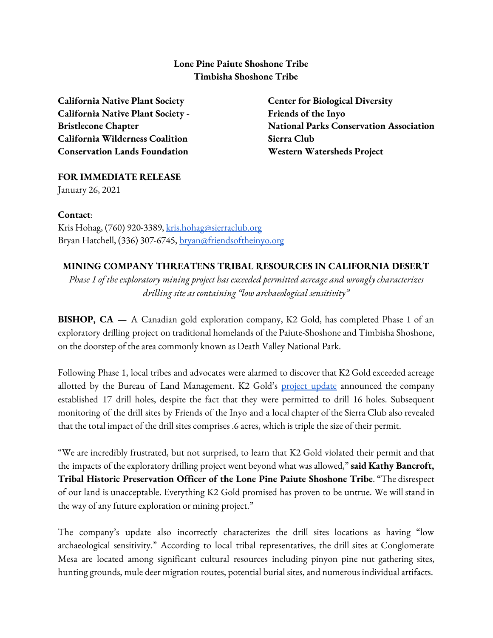### **Lone Pine Paiute Shoshone Tribe Timbisha Shoshone Tribe**

**California Native Plant Society California Native Plant Society - Bristlecone Chapter California Wilderness Coalition Conservation Lands Foundation**

**Center for Biological Diversity Friends of the Inyo National Parks Conservation Association Sierra Club Western Watersheds Project**

# **FOR IMMEDIATE RELEASE**

January 26, 2021

#### **Contact**:

Kris Hohag, (760) 920-3389, [kris.hohag@sierraclub.org](mailto:kris.hohag@sierraclub.org) Bryan Hatchell, (336) 307-6745, [bryan@friendsoftheinyo.org](mailto:bryan@friendsoftheinyo.org)

## **MINING COMPANY THREATENS TRIBAL RESOURCES IN CALIFORNIA DESERT**

*Phase 1 of the exploratory mining project has exceeded permitted acreage and wrongly characterizes drilling site as containing "low archaeological sensitivity"*

**BISHOP, CA —** A Canadian gold exploration company, K2 Gold, has completed Phase 1 of an exploratory drilling project on traditional homelands of the Paiute-Shoshone and Timbisha Shoshone, on the doorstep of the area commonly known as Death Valley National Park.

Following Phase 1, local tribes and advocates were alarmed to discover that K2 Gold exceeded acreage allotted by the Bureau of Land Management. K2 Gold's **[project](http://k2gold.com/news/index.php?content_id=204) update** announced the company established 17 drill holes, despite the fact that they were permitted to drill 16 holes. Subsequent monitoring of the drill sites by Friends of the Inyo and a local chapter of the Sierra Club also revealed that the total impact of the drill sites comprises .6 acres, which is triple the size of their permit.

"We are incredibly frustrated, but not surprised, to learn that K2 Gold violated their permit and that the impacts of the exploratory drilling project went beyond what wasallowed," **said Kathy Bancroft, Tribal Historic Preservation Officer of the Lone Pine Paiute Shoshone Tribe**. "The disrespect of our land is unacceptable. Everything K2 Gold promised has proven to be untrue. We will stand in the way of any future exploration or mining project."

The company's update also incorrectly characterizes the drill sites locations as having "low archaeological sensitivity." According to local tribal representatives, the drill sites at Conglomerate Mesa are located among significant cultural resources including pinyon pine nut gathering sites, hunting grounds, mule deer migration routes, potential burial sites, and numerous individual artifacts.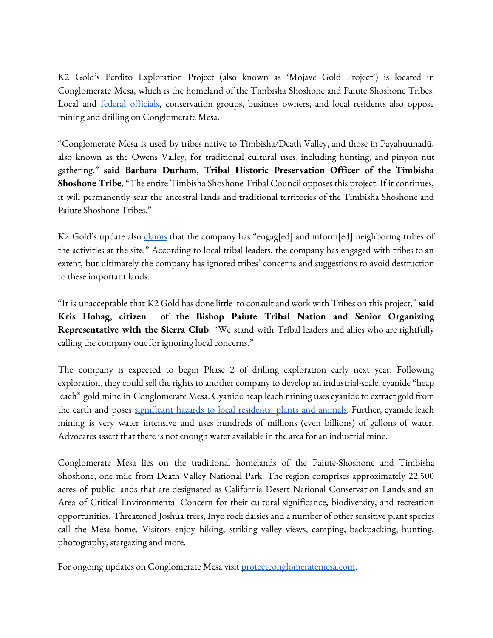K2 Gold's Perdito Exploration Project (also known as 'Mojave Gold Project') is located in Conglomerate Mesa, which is the homeland of the Timbisha Shoshone and Paiute Shoshone Tribes. Local and **federal officials**, conservation groups, business owners, and local residents also oppose mining and drilling on Conglomerate Mesa.

"Conglomerate Mesa is used by tribes native to Timbisha/Death Valley, and those in Payahuunadü, also known as the Owens Valley, for traditional cultural uses, including hunting, and pinyon nut gathering," **said Barbara Durham, Tribal Historic Preservation Officer of the Timbisha Shoshone Tribe.** "The entire Timbisha Shoshone Tribal Council opposes this project. If it continues, it will permanently scar the ancestral lands and traditional territories of the Timbisha Shoshone and Paiute Shoshone Tribes."

K2 Gold's update also [claims](http://k2gold.com/news/index.php?content_id=204) that the company has "engag[ed] and inform[ed] neighboring tribes of the activities at the site." According to local tribal leaders, the company has engaged with tribes to an extent, but ultimately the company has ignored tribes' concerns and suggestions to avoid destruction to these important lands.

"It is unacceptable that K2 Gold has done little to consultand work with Tribes on this project," **said Kris Hohag, citizen of the Bishop Paiute Tribal Nation and Senior Organizing Representative with the Sierra Club**. "We stand with Tribal leaders and allies who are rightfully calling the company out for ignoring local concerns."

The company is expected to begin Phase 2 of drilling exploration early next year. Following exploration, they could sell the rights to another company to develop an industrial-scale, cyanide "heap leach" gold mine in Conglomerate Mesa. Cyanide heap leach mining uses cyanide to extract gold from the earth and poses [significant](https://pubmed.ncbi.nlm.nih.gov/15369321/) hazards to local residents, plants and animals. Further, cyanide leach mining is very water intensive and uses hundreds of millions (even billions) of gallons of water. Advocates assert that there is not enough water available in the area for an industrial mine.

Conglomerate Mesa lies on the traditional homelands of the Paiute-Shoshone and Timbisha Shoshone, one mile from Death Valley National Park. The region comprises approximately 22,500 acres of public lands that are designated as California Desert National Conservation Lands and an Area of Critical Environmental Concern for their cultural significance, biodiversity, and recreation opportunities. Threatened Joshua trees, Inyo rock daisiesand a number of other sensitive plant species call the Mesa home. Visitors enjoy hiking, striking valley views, camping, backpacking, hunting, photography, stargazing and more.

For ongoing updates on Conglomerate Mesa visit [protectconglomeratemesa.com](http://protectconglomeratemesa.com/).